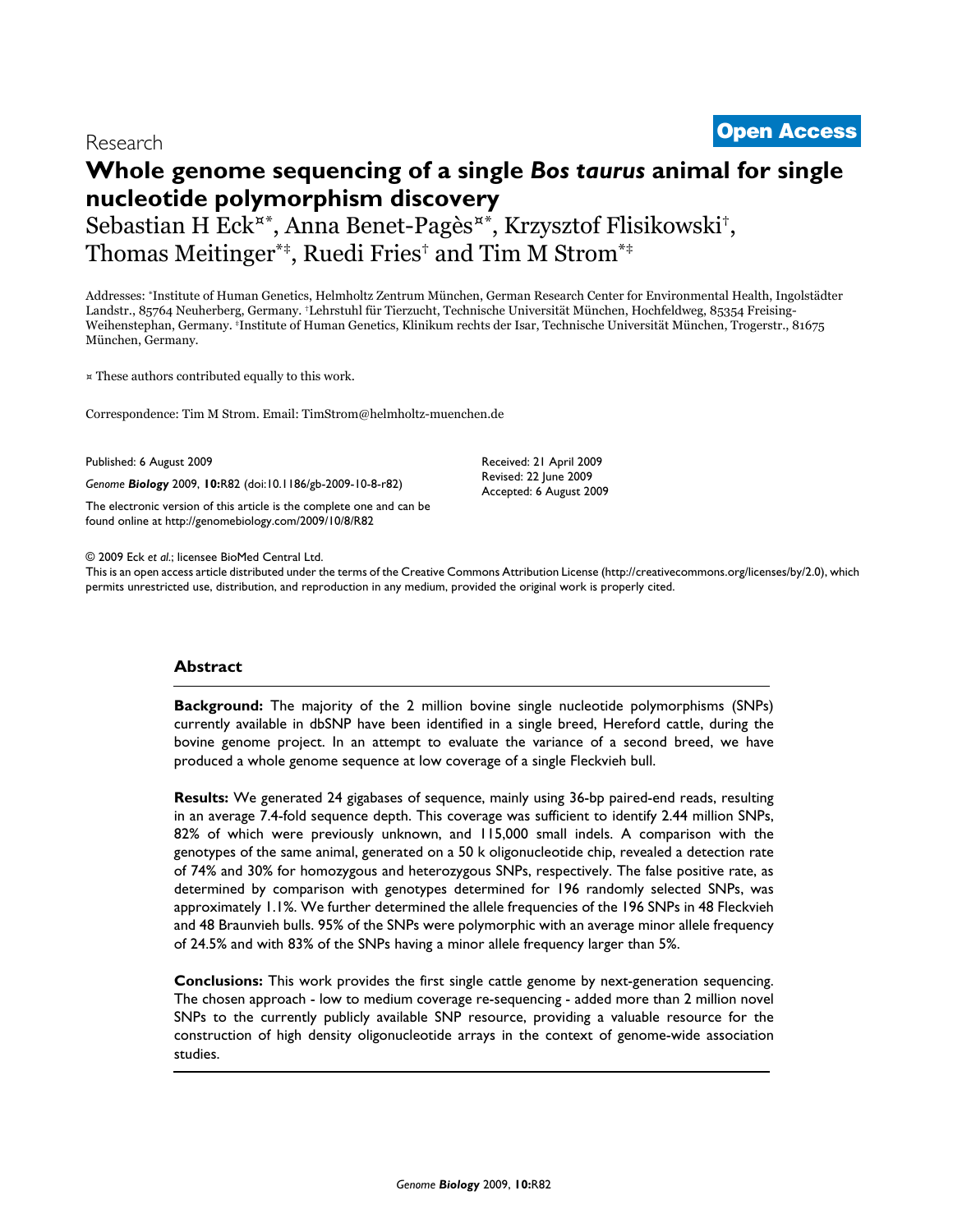# **Whole genome sequencing of a single** *Bos taurus* **animal for single nucleotide polymorphism discovery**

Sebastian H Eck¤\*, Anna Benet-Pagès¤\*, Krzysztof Flisikowski†, Thomas Meitinger\*‡, Ruedi Fries† and Tim M Strom\*‡

Addresses: \*Institute of Human Genetics, Helmholtz Zentrum München, German Research Center for Environmental Health, Ingolstädter Landstr., 85764 Neuherberg, Germany. †Lehrstuhl für Tierzucht, Technische Universität München, Hochfeldweg, 85354 Freising-Weihenstephan, Germany. ‡Institute of Human Genetics, Klinikum rechts der Isar, Technische Universität München, Trogerstr., 81675 München, Germany.

¤ These authors contributed equally to this work.

Correspondence: Tim M Strom. Email: TimStrom@helmholtz-muenchen.de

Published: 6 August 2009

*Genome Biology* 2009, **10:**R82 (doi:10.1186/gb-2009-10-8-r82)

[The electronic version of this article is the complete one and can be](http://genomebiology.com/2009/10/8/R82)  found online at http://genomebiology.com/2009/10/8/R82

Received: 21 April 2009 Revised: 22 June 2009 Accepted: 6 August 2009

© 2009 Eck *et al*.; licensee BioMed Central Ltd.

[This is an open access article distributed under the terms of the Creative Commons Attribution License \(http://creativecommons.org/licenses/by/2.0\), which](http://creativecommons.org/licenses/by/2.0)  permits unrestricted use, distribution, and reproduction in any medium, provided the original work is properly cited.

# **Abstract**

**Background:** The majority of the 2 million bovine single nucleotide polymorphisms (SNPs) currently available in dbSNP have been identified in a single breed, Hereford cattle, during the bovine genome project. In an attempt to evaluate the variance of a second breed, we have produced a whole genome sequence at low coverage of a single Fleckvieh bull.

**Results:** We generated 24 gigabases of sequence, mainly using 36-bp paired-end reads, resulting in an average 7.4-fold sequence depth. This coverage was sufficient to identify 2.44 million SNPs, 82% of which were previously unknown, and 115,000 small indels. A comparison with the genotypes of the same animal, generated on a 50 k oligonucleotide chip, revealed a detection rate of 74% and 30% for homozygous and heterozygous SNPs, respectively. The false positive rate, as determined by comparison with genotypes determined for 196 randomly selected SNPs, was approximately 1.1%. We further determined the allele frequencies of the 196 SNPs in 48 Fleckvieh and 48 Braunvieh bulls. 95% of the SNPs were polymorphic with an average minor allele frequency of 24.5% and with 83% of the SNPs having a minor allele frequency larger than 5%.

**Conclusions:** This work provides the first single cattle genome by next-generation sequencing. The chosen approach - low to medium coverage re-sequencing - added more than 2 million novel SNPs to the currently publicly available SNP resource, providing a valuable resource for the construction of high density oligonucleotide arrays in the context of genome-wide association studies.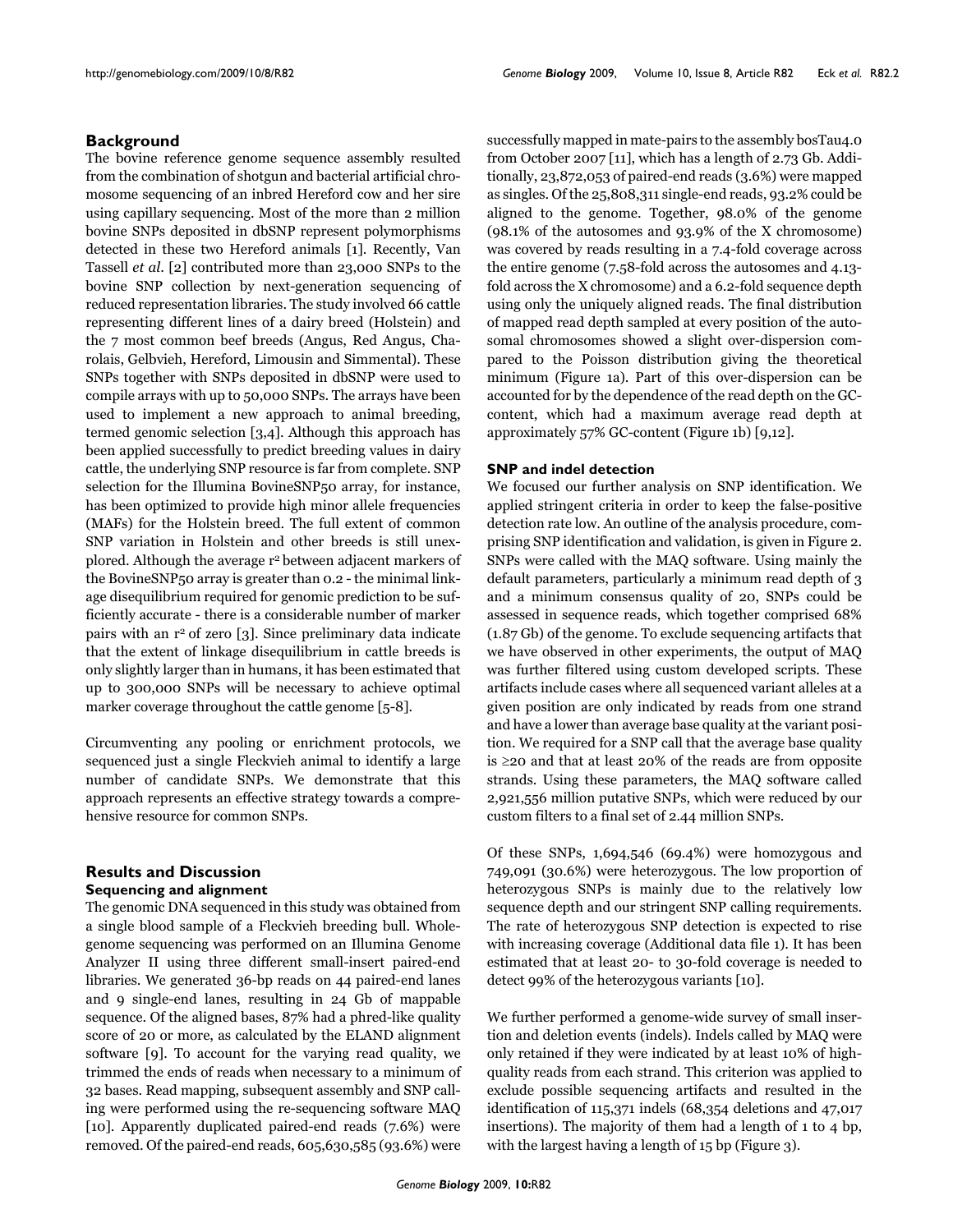# **Background**

The bovine reference genome sequence assembly resulted from the combination of shotgun and bacterial artificial chromosome sequencing of an inbred Hereford cow and her sire using capillary sequencing. Most of the more than 2 million bovine SNPs deposited in dbSNP represent polymorphisms detected in these two Hereford animals [1]. Recently, Van Tassell *et al*. [2] contributed more than 23,000 SNPs to the bovine SNP collection by next-generation sequencing of reduced representation libraries. The study involved 66 cattle representing different lines of a dairy breed (Holstein) and the 7 most common beef breeds (Angus, Red Angus, Charolais, Gelbvieh, Hereford, Limousin and Simmental). These SNPs together with SNPs deposited in dbSNP were used to compile arrays with up to 50,000 SNPs. The arrays have been used to implement a new approach to animal breeding, termed genomic selection [3,4]. Although this approach has been applied successfully to predict breeding values in dairy cattle, the underlying SNP resource is far from complete. SNP selection for the Illumina BovineSNP50 array, for instance, has been optimized to provide high minor allele frequencies (MAFs) for the Holstein breed. The full extent of common SNP variation in Holstein and other breeds is still unexplored. Although the average r2 between adjacent markers of the BovineSNP50 array is greater than 0.2 - the minimal linkage disequilibrium required for genomic prediction to be sufficiently accurate - there is a considerable number of marker pairs with an r<sup>2</sup> of zero [3]. Since preliminary data indicate that the extent of linkage disequilibrium in cattle breeds is only slightly larger than in humans, it has been estimated that up to 300,000 SNPs will be necessary to achieve optimal marker coverage throughout the cattle genome [5-8].

Circumventing any pooling or enrichment protocols, we sequenced just a single Fleckvieh animal to identify a large number of candidate SNPs. We demonstrate that this approach represents an effective strategy towards a comprehensive resource for common SNPs.

# **Results and Discussion Sequencing and alignment**

The genomic DNA sequenced in this study was obtained from a single blood sample of a Fleckvieh breeding bull. Wholegenome sequencing was performed on an Illumina Genome Analyzer II using three different small-insert paired-end libraries. We generated 36-bp reads on 44 paired-end lanes and 9 single-end lanes, resulting in 24 Gb of mappable sequence. Of the aligned bases, 87% had a phred-like quality score of 20 or more, as calculated by the ELAND alignment software [9]. To account for the varying read quality, we trimmed the ends of reads when necessary to a minimum of 32 bases. Read mapping, subsequent assembly and SNP calling were performed using the re-sequencing software MAQ [10]. Apparently duplicated paired-end reads (7.6%) were removed. Of the paired-end reads, 605,630,585 (93.6%) were

successfully mapped in mate-pairs to the assembly bosTau4.0 from October 2007 [11], which has a length of 2.73 Gb. Additionally, 23,872,053 of paired-end reads (3.6%) were mapped as singles. Of the 25,808,311 single-end reads, 93.2% could be aligned to the genome. Together, 98.0% of the genome (98.1% of the autosomes and 93.9% of the X chromosome) was covered by reads resulting in a 7.4-fold coverage across the entire genome (7.58-fold across the autosomes and 4.13 fold across the X chromosome) and a 6.2-fold sequence depth using only the uniquely aligned reads. The final distribution of mapped read depth sampled at every position of the autosomal chromosomes showed a slight over-dispersion compared to the Poisson distribution giving the theoretical minimum (Figure 1a). Part of this over-dispersion can be accounted for by the dependence of the read depth on the GCcontent, which had a maximum average read depth at approximately 57% GC-content (Figure 1b) [9,12].

# **SNP and indel detection**

We focused our further analysis on SNP identification. We applied stringent criteria in order to keep the false-positive detection rate low. An outline of the analysis procedure, comprising SNP identification and validation, is given in Figure 2. SNPs were called with the MAQ software. Using mainly the default parameters, particularly a minimum read depth of 3 and a minimum consensus quality of 20, SNPs could be assessed in sequence reads, which together comprised 68% (1.87 Gb) of the genome. To exclude sequencing artifacts that we have observed in other experiments, the output of MAQ was further filtered using custom developed scripts. These artifacts include cases where all sequenced variant alleles at a given position are only indicated by reads from one strand and have a lower than average base quality at the variant position. We required for a SNP call that the average base quality is ≥20 and that at least 20% of the reads are from opposite strands. Using these parameters, the MAQ software called 2,921,556 million putative SNPs, which were reduced by our custom filters to a final set of 2.44 million SNPs.

Of these SNPs, 1,694,546 (69.4%) were homozygous and 749,091 (30.6%) were heterozygous. The low proportion of heterozygous SNPs is mainly due to the relatively low sequence depth and our stringent SNP calling requirements. The rate of heterozygous SNP detection is expected to rise with increasing coverage (Additional data file 1). It has been estimated that at least 20- to 30-fold coverage is needed to detect 99% of the heterozygous variants [10].

We further performed a genome-wide survey of small insertion and deletion events (indels). Indels called by MAQ were only retained if they were indicated by at least 10% of highquality reads from each strand. This criterion was applied to exclude possible sequencing artifacts and resulted in the identification of 115,371 indels (68,354 deletions and 47,017 insertions). The majority of them had a length of 1 to 4 bp, with the largest having a length of 15 bp (Figure 3).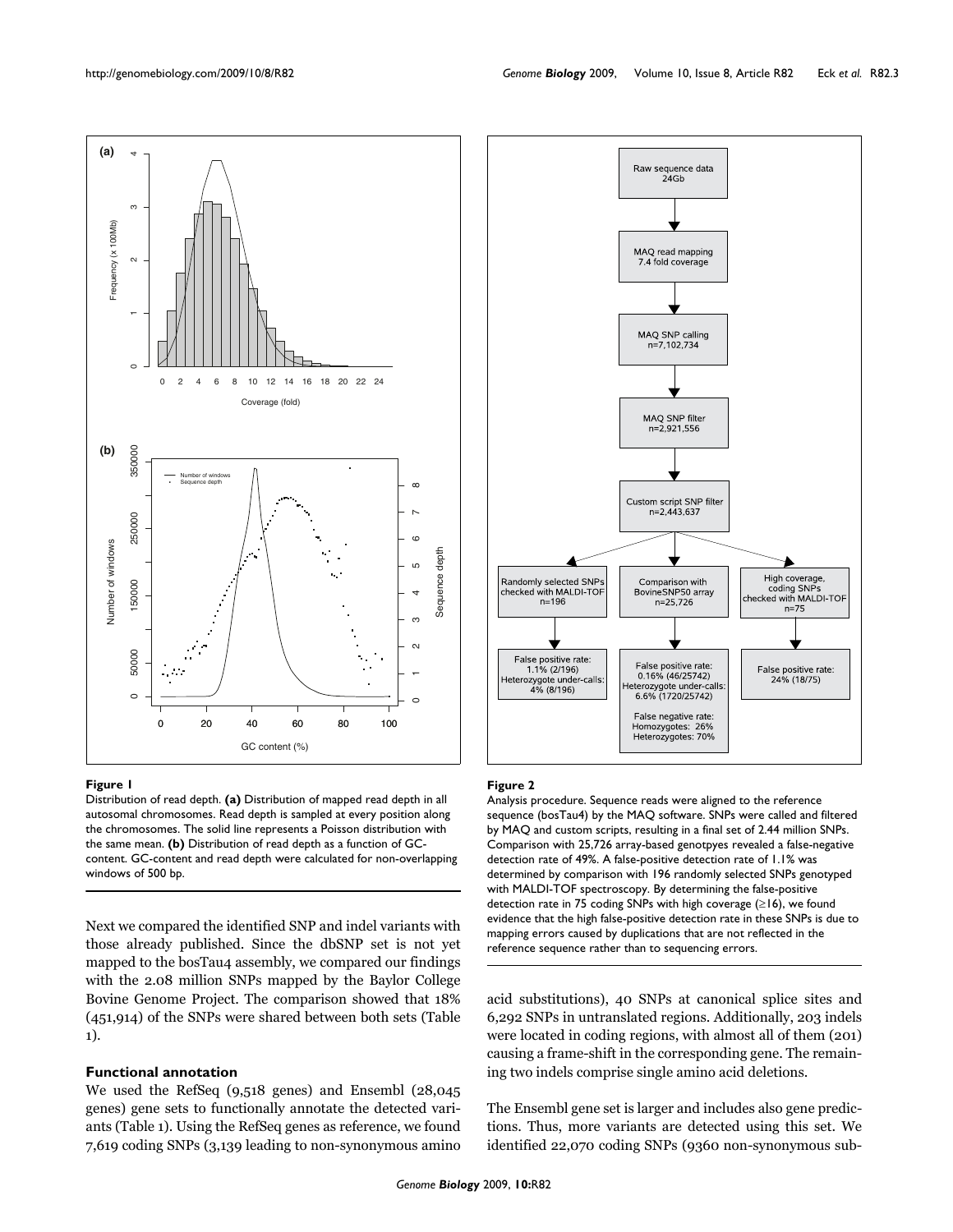

#### **Figure 1**

Distribution of read depth. **(a)** Distribution of mapped read depth in all autosomal chromosomes. Read depth is sampled at every position along the chromosomes. The solid line represents a Poisson distribution with the same mean. **(b)** Distribution of read depth as a function of GCcontent. GC-content and read depth were calculated for non-overlapping windows of 500 bp.

Next we compared the identified SNP and indel variants with those already published. Since the dbSNP set is not yet mapped to the bosTau4 assembly, we compared our findings with the 2.08 million SNPs mapped by the Baylor College Bovine Genome Project. The comparison showed that 18% (451,914) of the SNPs were shared between both sets (Table 1).

#### **Functional annotation**

We used the RefSeq (9,518 genes) and Ensembl (28,045 genes) gene sets to functionally annotate the detected variants (Table 1). Using the RefSeq genes as reference, we found 7,619 coding SNPs (3,139 leading to non-synonymous amino



#### **Figure 2**

Analysis procedure. Sequence reads were aligned to the reference sequence (bosTau4) by the MAQ software. SNPs were called and filtered by MAQ and custom scripts, resulting in a final set of 2.44 million SNPs. Comparison with 25,726 array-based genotpyes revealed a false-negative detection rate of 49%. A false-positive detection rate of 1.1% was determined by comparison with 196 randomly selected SNPs genotyped with MALDI-TOF spectroscopy. By determining the false-positive detection rate in 75 coding SNPs with high coverage (≥16), we found evidence that the high false-positive detection rate in these SNPs is due to mapping errors caused by duplications that are not reflected in the reference sequence rather than to sequencing errors.

acid substitutions), 40 SNPs at canonical splice sites and 6,292 SNPs in untranslated regions. Additionally, 203 indels were located in coding regions, with almost all of them (201) causing a frame-shift in the corresponding gene. The remaining two indels comprise single amino acid deletions.

The Ensembl gene set is larger and includes also gene predictions. Thus, more variants are detected using this set. We identified 22,070 coding SNPs (9360 non-synonymous sub-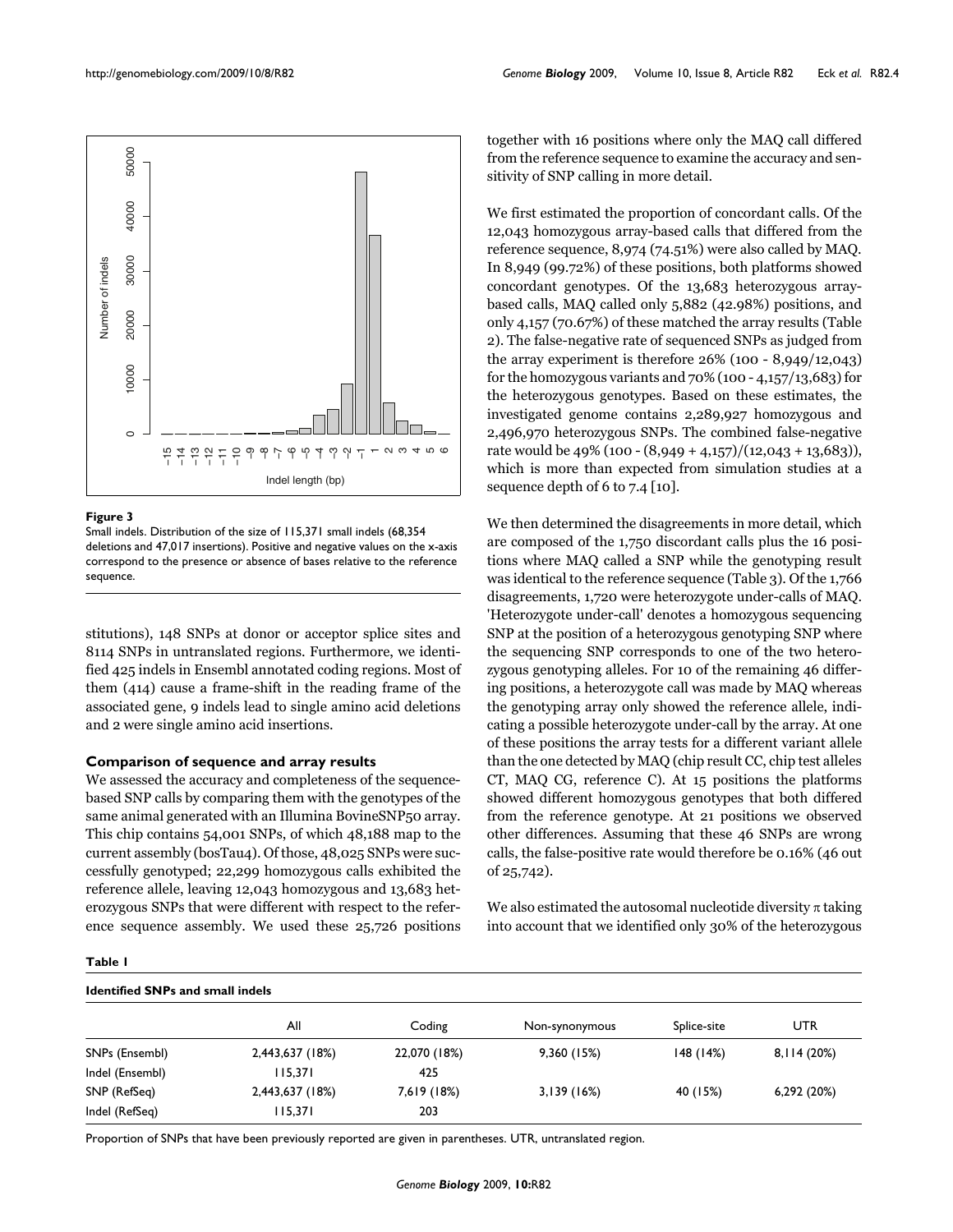

#### **Figure 3**

Small indels. Distribution of the size of 115,371 small indels (68,354 deletions and 47,017 insertions). Positive and negative values on the x-axis correspond to the presence or absence of bases relative to the reference sequence.

stitutions), 148 SNPs at donor or acceptor splice sites and 8114 SNPs in untranslated regions. Furthermore, we identified 425 indels in Ensembl annotated coding regions. Most of them (414) cause a frame-shift in the reading frame of the associated gene, 9 indels lead to single amino acid deletions and 2 were single amino acid insertions.

#### **Comparison of sequence and array results**

We assessed the accuracy and completeness of the sequencebased SNP calls by comparing them with the genotypes of the same animal generated with an Illumina BovineSNP50 array. This chip contains 54,001 SNPs, of which 48,188 map to the current assembly (bosTau4). Of those, 48,025 SNPs were successfully genotyped; 22,299 homozygous calls exhibited the reference allele, leaving 12,043 homozygous and 13,683 heterozygous SNPs that were different with respect to the reference sequence assembly. We used these 25,726 positions together with 16 positions where only the MAQ call differed from the reference sequence to examine the accuracy and sensitivity of SNP calling in more detail.

We first estimated the proportion of concordant calls. Of the 12,043 homozygous array-based calls that differed from the reference sequence, 8,974 (74.51%) were also called by MAQ. In 8,949 (99.72%) of these positions, both platforms showed concordant genotypes. Of the 13,683 heterozygous arraybased calls, MAQ called only 5,882 (42.98%) positions, and only 4,157 (70.67%) of these matched the array results (Table 2). The false-negative rate of sequenced SNPs as judged from the array experiment is therefore 26% (100 - 8,949/12,043) for the homozygous variants and 70% (100 - 4,157/13,683) for the heterozygous genotypes. Based on these estimates, the investigated genome contains 2,289,927 homozygous and 2,496,970 heterozygous SNPs. The combined false-negative rate would be 49% (100 - (8,949 + 4,157)/(12,043 + 13,683)), which is more than expected from simulation studies at a sequence depth of 6 to 7.4 [10].

We then determined the disagreements in more detail, which are composed of the 1,750 discordant calls plus the 16 positions where MAQ called a SNP while the genotyping result was identical to the reference sequence (Table 3). Of the 1,766 disagreements, 1,720 were heterozygote under-calls of MAQ. 'Heterozygote under-call' denotes a homozygous sequencing SNP at the position of a heterozygous genotyping SNP where the sequencing SNP corresponds to one of the two heterozygous genotyping alleles. For 10 of the remaining 46 differing positions, a heterozygote call was made by MAQ whereas the genotyping array only showed the reference allele, indicating a possible heterozygote under-call by the array. At one of these positions the array tests for a different variant allele than the one detected by MAQ (chip result CC, chip test alleles CT, MAQ CG, reference C). At 15 positions the platforms showed different homozygous genotypes that both differed from the reference genotype. At 21 positions we observed other differences. Assuming that these 46 SNPs are wrong calls, the false-positive rate would therefore be 0.16% (46 out of 25,742).

We also estimated the autosomal nucleotide diversity  $\pi$  taking into account that we identified only 30% of the heterozygous

# **Table 1**

### **Identified SNPs and small indels**

|                 | All             | Coding       | Non-synonymous | Splice-site | UTR          |
|-----------------|-----------------|--------------|----------------|-------------|--------------|
| SNPs (Ensembl)  | 2,443,637 (18%) | 22,070 (18%) | 9,360(15%)     | 148(14%)    | 8, II4 (20%) |
| Indel (Ensembl) | 115.371         | 425          |                |             |              |
| SNP (RefSeq)    | 2,443,637 (18%) | 7,619 (18%)  | 3,139(16%)     | 40 (15%)    | 6,292 (20%)  |
| Indel (RefSeq)  | 115,371         | 203          |                |             |              |

Proportion of SNPs that have been previously reported are given in parentheses. UTR, untranslated region.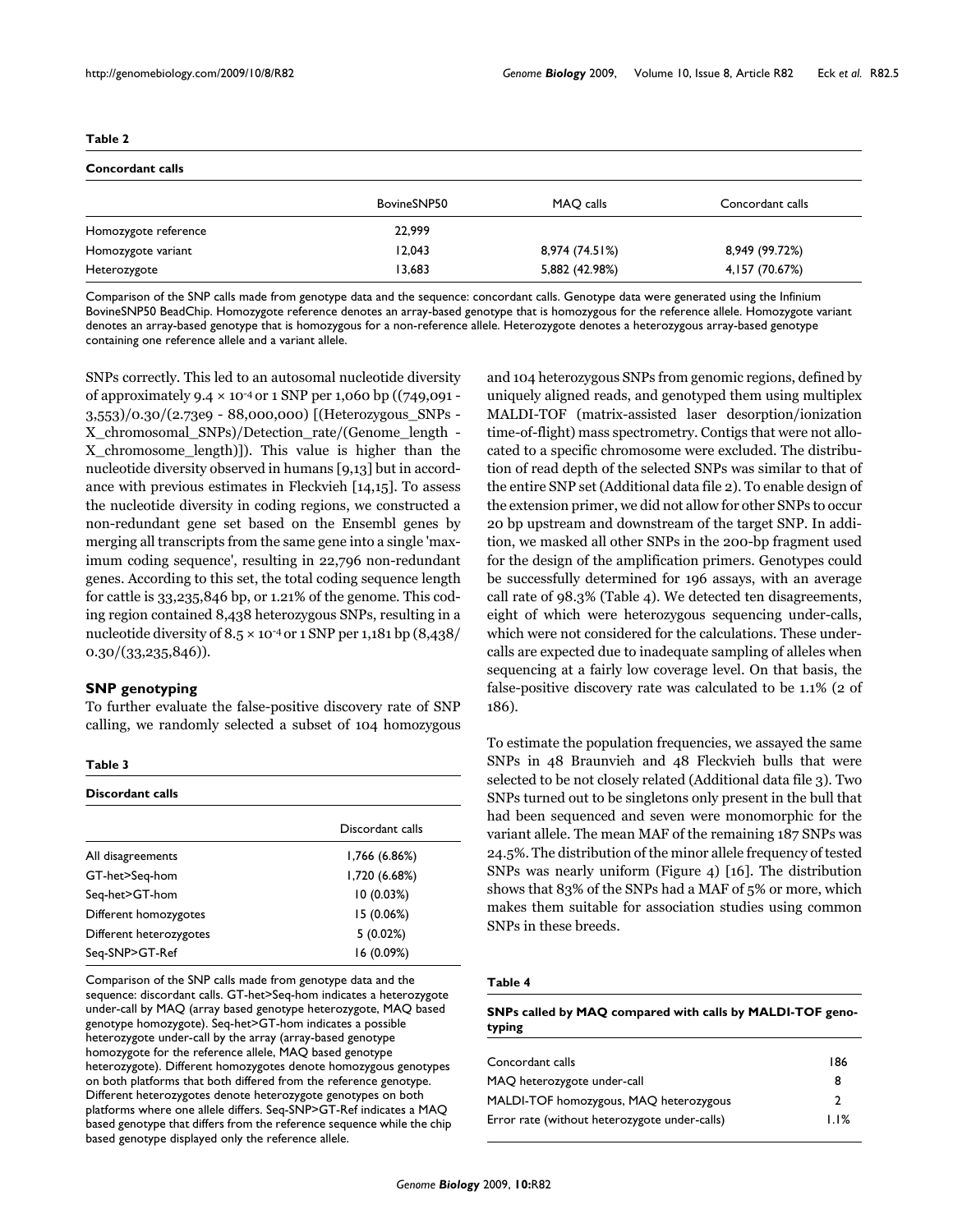| <b>Concordant calls</b> |             |                |                  |  |  |  |  |
|-------------------------|-------------|----------------|------------------|--|--|--|--|
|                         | BovineSNP50 | MAQ calls      | Concordant calls |  |  |  |  |
| Homozygote reference    | 22,999      |                |                  |  |  |  |  |
| Homozygote variant      | 12,043      | 8,974 (74.51%) | 8,949 (99.72%)   |  |  |  |  |
| Heterozygote            | 13.683      | 5,882 (42.98%) | 4, 157 (70.67%)  |  |  |  |  |

Comparison of the SNP calls made from genotype data and the sequence: concordant calls. Genotype data were generated using the Infinium BovineSNP50 BeadChip. Homozygote reference denotes an array-based genotype that is homozygous for the reference allele. Homozygote variant denotes an array-based genotype that is homozygous for a non-reference allele. Heterozygote denotes a heterozygous array-based genotype containing one reference allele and a variant allele.

SNPs correctly. This led to an autosomal nucleotide diversity of approximately 9.4 × 10-4 or 1 SNP per 1,060 bp ((749,091 - 3,553)/0.30/(2.73e9 - 88,000,000) [(Heterozygous\_SNPs - X\_chromosomal\_SNPs)/Detection\_rate/(Genome\_length - X\_chromosome\_length)]). This value is higher than the nucleotide diversity observed in humans [9,13] but in accordance with previous estimates in Fleckvieh [14,15]. To assess the nucleotide diversity in coding regions, we constructed a non-redundant gene set based on the Ensembl genes by merging all transcripts from the same gene into a single 'maximum coding sequence', resulting in 22,796 non-redundant genes. According to this set, the total coding sequence length for cattle is 33,235,846 bp, or 1.21% of the genome. This coding region contained 8,438 heterozygous SNPs, resulting in a nucleotide diversity of  $8.5 \times 10^{-4}$  or 1 SNP per 1,181 bp  $(8,438)$ 0.30/(33,235,846)).

#### **SNP genotyping**

To further evaluate the false-positive discovery rate of SNP calling, we randomly selected a subset of 104 homozygous

#### **Table 3**

| <b>Discordant calls</b> |                  |  |  |  |  |
|-------------------------|------------------|--|--|--|--|
|                         | Discordant calls |  |  |  |  |
| All disagreements       | 1,766 (6.86%)    |  |  |  |  |
| GT-het>Seq-hom          | 1,720(6.68%)     |  |  |  |  |
| Seg-het>GT-hom          | 10(0.03%)        |  |  |  |  |
| Different homozygotes   | 15 (0.06%)       |  |  |  |  |
| Different heterozygotes | 5(0.02%)         |  |  |  |  |
| Seq-SNP>GT-Ref          | 16 (0.09%)       |  |  |  |  |

Comparison of the SNP calls made from genotype data and the sequence: discordant calls. GT-het>Seq-hom indicates a heterozygote under-call by MAQ (array based genotype heterozygote, MAQ based genotype homozygote). Seq-het>GT-hom indicates a possible heterozygote under-call by the array (array-based genotype homozygote for the reference allele, MAQ based genotype heterozygote). Different homozygotes denote homozygous genotypes on both platforms that both differed from the reference genotype. Different heterozygotes denote heterozygote genotypes on both platforms where one allele differs. Seq-SNP>GT-Ref indicates a MAQ based genotype that differs from the reference sequence while the chip based genotype displayed only the reference allele.

and 104 heterozygous SNPs from genomic regions, defined by uniquely aligned reads, and genotyped them using multiplex MALDI-TOF (matrix-assisted laser desorption/ionization time-of-flight) mass spectrometry. Contigs that were not allocated to a specific chromosome were excluded. The distribution of read depth of the selected SNPs was similar to that of the entire SNP set (Additional data file 2). To enable design of the extension primer, we did not allow for other SNPs to occur 20 bp upstream and downstream of the target SNP. In addition, we masked all other SNPs in the 200-bp fragment used for the design of the amplification primers. Genotypes could be successfully determined for 196 assays, with an average call rate of 98.3% (Table 4). We detected ten disagreements, eight of which were heterozygous sequencing under-calls, which were not considered for the calculations. These undercalls are expected due to inadequate sampling of alleles when sequencing at a fairly low coverage level. On that basis, the false-positive discovery rate was calculated to be 1.1% (2 of 186).

To estimate the population frequencies, we assayed the same SNPs in 48 Braunvieh and 48 Fleckvieh bulls that were selected to be not closely related (Additional data file 3). Two SNPs turned out to be singletons only present in the bull that had been sequenced and seven were monomorphic for the variant allele. The mean MAF of the remaining 187 SNPs was 24.5%. The distribution of the minor allele frequency of tested SNPs was nearly uniform (Figure 4) [16]. The distribution shows that 83% of the SNPs had a MAF of 5% or more, which makes them suitable for association studies using common SNPs in these breeds.

#### **Table 4**

**SNPs called by MAQ compared with calls by MALDI-TOF genotyping**

| 186  |
|------|
|      |
|      |
| 1.1% |
|      |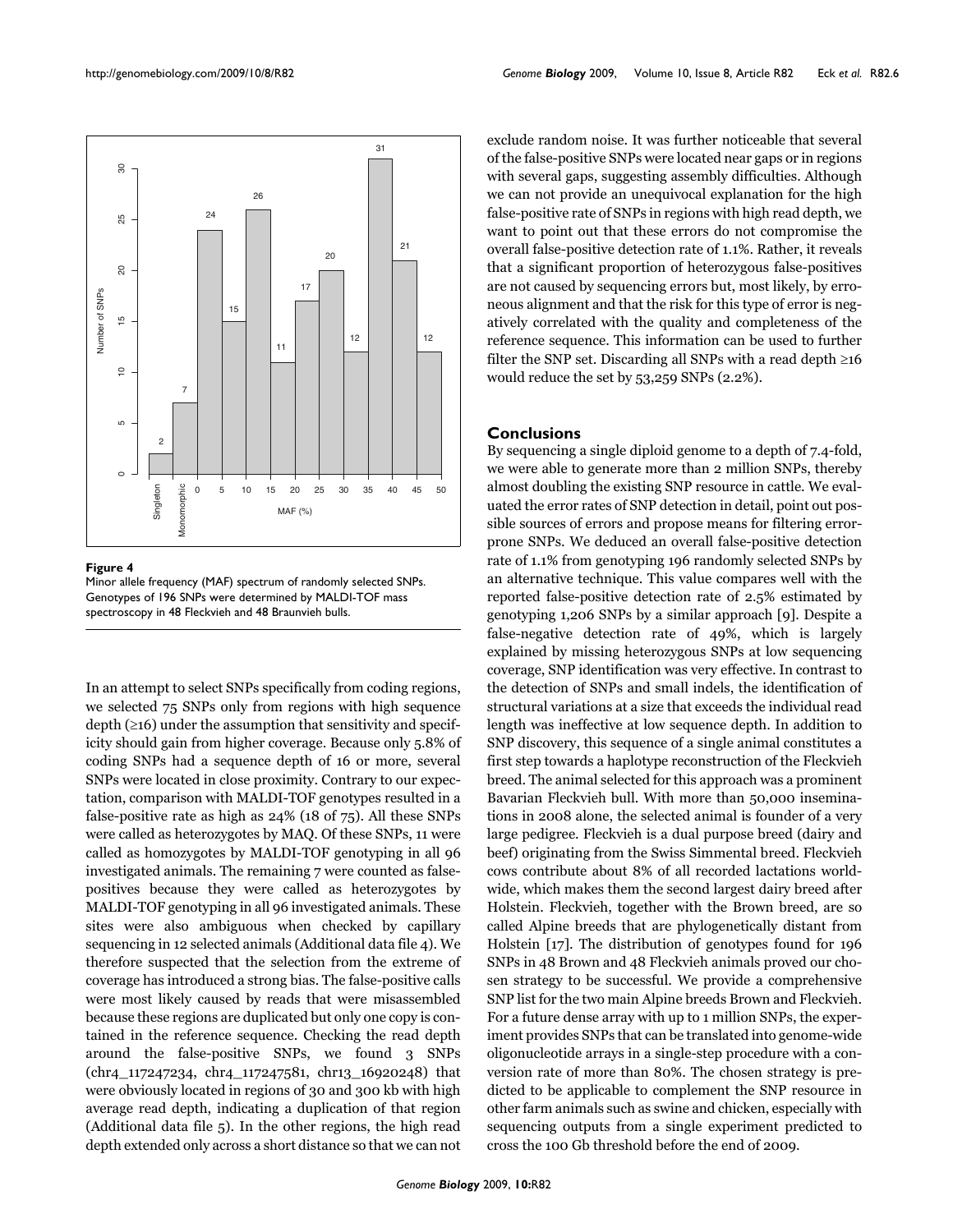

#### **Figure 4**

Minor allele frequency (MAF) spectrum of randomly selected SNPs. Genotypes of 196 SNPs were determined by MALDI-TOF mass spectroscopy in 48 Fleckvieh and 48 Braunvieh bulls.

In an attempt to select SNPs specifically from coding regions, we selected 75 SNPs only from regions with high sequence depth  $(\geq 16)$  under the assumption that sensitivity and specificity should gain from higher coverage. Because only 5.8% of coding SNPs had a sequence depth of 16 or more, several SNPs were located in close proximity. Contrary to our expectation, comparison with MALDI-TOF genotypes resulted in a false-positive rate as high as 24% (18 of 75). All these SNPs were called as heterozygotes by MAQ. Of these SNPs, 11 were called as homozygotes by MALDI-TOF genotyping in all 96 investigated animals. The remaining 7 were counted as falsepositives because they were called as heterozygotes by MALDI-TOF genotyping in all 96 investigated animals. These sites were also ambiguous when checked by capillary sequencing in 12 selected animals (Additional data file 4). We therefore suspected that the selection from the extreme of coverage has introduced a strong bias. The false-positive calls were most likely caused by reads that were misassembled because these regions are duplicated but only one copy is contained in the reference sequence. Checking the read depth around the false-positive SNPs, we found 3 SNPs (chr4\_117247234, chr4\_117247581, chr13\_16920248) that were obviously located in regions of 30 and 300 kb with high average read depth, indicating a duplication of that region (Additional data file 5). In the other regions, the high read depth extended only across a short distance so that we can not

exclude random noise. It was further noticeable that several of the false-positive SNPs were located near gaps or in regions with several gaps, suggesting assembly difficulties. Although we can not provide an unequivocal explanation for the high false-positive rate of SNPs in regions with high read depth, we want to point out that these errors do not compromise the overall false-positive detection rate of 1.1%. Rather, it reveals that a significant proportion of heterozygous false-positives are not caused by sequencing errors but, most likely, by erroneous alignment and that the risk for this type of error is negatively correlated with the quality and completeness of the reference sequence. This information can be used to further filter the SNP set. Discarding all SNPs with a read depth  $\geq 16$ would reduce the set by 53,259 SNPs (2.2%).

# **Conclusions**

By sequencing a single diploid genome to a depth of 7.4-fold, we were able to generate more than 2 million SNPs, thereby almost doubling the existing SNP resource in cattle. We evaluated the error rates of SNP detection in detail, point out possible sources of errors and propose means for filtering errorprone SNPs. We deduced an overall false-positive detection rate of 1.1% from genotyping 196 randomly selected SNPs by an alternative technique. This value compares well with the reported false-positive detection rate of 2.5% estimated by genotyping 1,206 SNPs by a similar approach [9]. Despite a false-negative detection rate of 49%, which is largely explained by missing heterozygous SNPs at low sequencing coverage, SNP identification was very effective. In contrast to the detection of SNPs and small indels, the identification of structural variations at a size that exceeds the individual read length was ineffective at low sequence depth. In addition to SNP discovery, this sequence of a single animal constitutes a first step towards a haplotype reconstruction of the Fleckvieh breed. The animal selected for this approach was a prominent Bavarian Fleckvieh bull. With more than 50,000 inseminations in 2008 alone, the selected animal is founder of a very large pedigree. Fleckvieh is a dual purpose breed (dairy and beef) originating from the Swiss Simmental breed. Fleckvieh cows contribute about 8% of all recorded lactations worldwide, which makes them the second largest dairy breed after Holstein. Fleckvieh, together with the Brown breed, are so called Alpine breeds that are phylogenetically distant from Holstein [17]. The distribution of genotypes found for 196 SNPs in 48 Brown and 48 Fleckvieh animals proved our chosen strategy to be successful. We provide a comprehensive SNP list for the two main Alpine breeds Brown and Fleckvieh. For a future dense array with up to 1 million SNPs, the experiment provides SNPs that can be translated into genome-wide oligonucleotide arrays in a single-step procedure with a conversion rate of more than 80%. The chosen strategy is predicted to be applicable to complement the SNP resource in other farm animals such as swine and chicken, especially with sequencing outputs from a single experiment predicted to cross the 100 Gb threshold before the end of 2009.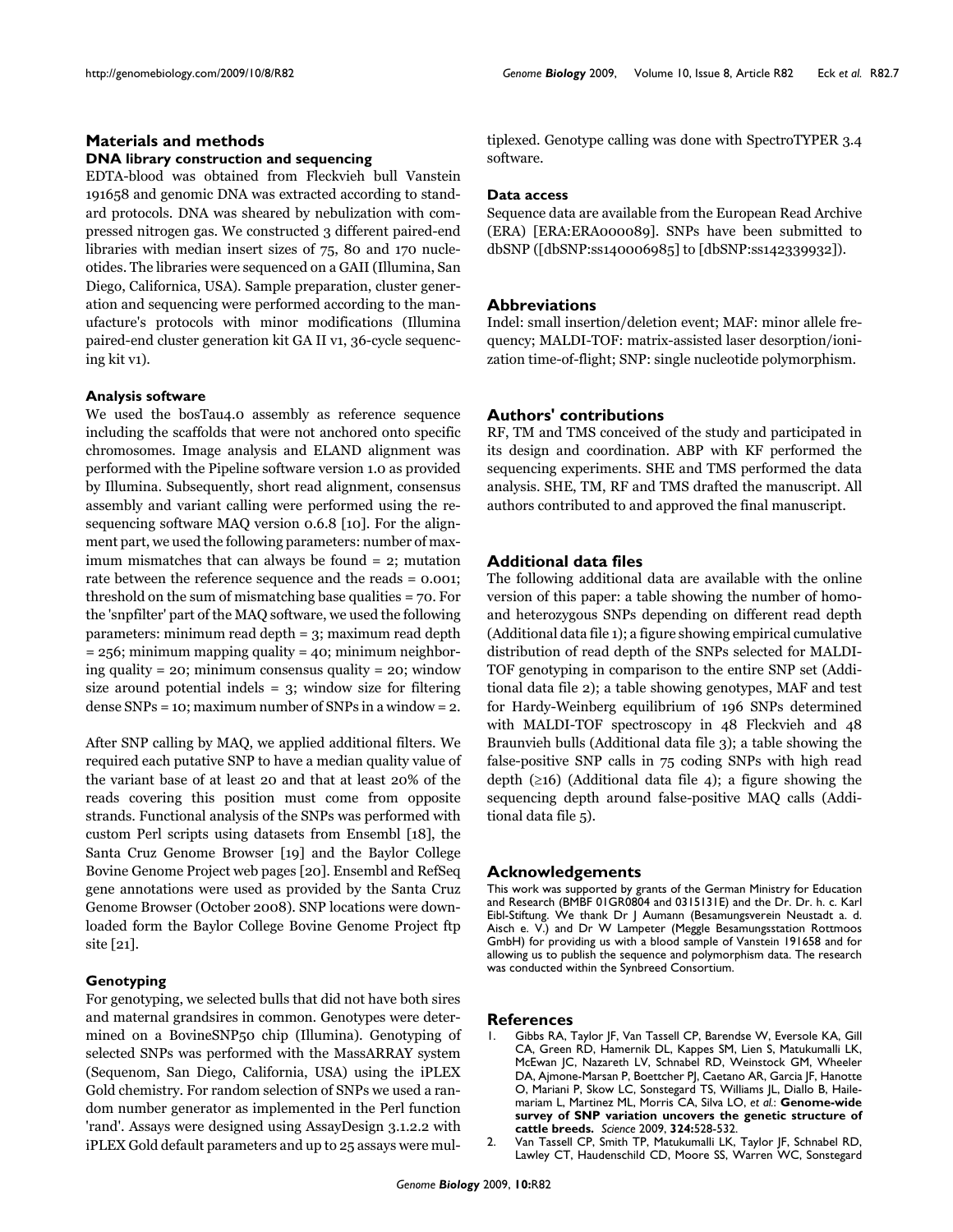# **Materials and methods**

#### **DNA library construction and sequencing**

EDTA-blood was obtained from Fleckvieh bull Vanstein 191658 and genomic DNA was extracted according to standard protocols. DNA was sheared by nebulization with compressed nitrogen gas. We constructed 3 different paired-end libraries with median insert sizes of 75, 80 and 170 nucleotides. The libraries were sequenced on a GAII (Illumina, San Diego, Californica, USA). Sample preparation, cluster generation and sequencing were performed according to the manufacture's protocols with minor modifications (Illumina paired-end cluster generation kit GA II v1, 36-cycle sequencing kit v1).

#### **Analysis software**

We used the bosTau4.0 assembly as reference sequence including the scaffolds that were not anchored onto specific chromosomes. Image analysis and ELAND alignment was performed with the Pipeline software version 1.0 as provided by Illumina. Subsequently, short read alignment, consensus assembly and variant calling were performed using the resequencing software MAQ version 0.6.8 [10]. For the alignment part, we used the following parameters: number of maximum mismatches that can always be found = 2; mutation rate between the reference sequence and the reads = 0.001; threshold on the sum of mismatching base qualities = 70. For the 'snpfilter' part of the MAQ software, we used the following parameters: minimum read depth = 3; maximum read depth  $= 256$ ; minimum mapping quality  $= 40$ ; minimum neighboring quality = 20; minimum consensus quality = 20; window size around potential indels = 3; window size for filtering dense SNPs = 10; maximum number of SNPs in a window = 2.

After SNP calling by MAQ, we applied additional filters. We required each putative SNP to have a median quality value of the variant base of at least 20 and that at least 20% of the reads covering this position must come from opposite strands. Functional analysis of the SNPs was performed with custom Perl scripts using datasets from Ensembl [18], the Santa Cruz Genome Browser [19] and the Baylor College Bovine Genome Project web pages [20]. Ensembl and RefSeq gene annotations were used as provided by the Santa Cruz Genome Browser (October 2008). SNP locations were downloaded form the Baylor College Bovine Genome Project ftp site [21].

# **Genotyping**

For genotyping, we selected bulls that did not have both sires and maternal grandsires in common. Genotypes were determined on a BovineSNP50 chip (Illumina). Genotyping of selected SNPs was performed with the MassARRAY system (Sequenom, San Diego, California, USA) using the iPLEX Gold chemistry. For random selection of SNPs we used a random number generator as implemented in the Perl function 'rand'. Assays were designed using AssayDesign 3.1.2.2 with iPLEX Gold default parameters and up to 25 assays were multiplexed. Genotype calling was done with SpectroTYPER 3.4 software.

# **Data access**

Sequence data are available from the European Read Archive (ERA) [ERA:ERA000089]. SNPs have been submitted to dbSNP ([dbSNP:ss140006985] to [dbSNP:ss142339932]).

#### **Abbreviations**

Indel: small insertion/deletion event; MAF: minor allele frequency; MALDI-TOF: matrix-assisted laser desorption/ionization time-of-flight; SNP: single nucleotide polymorphism.

# **Authors' contributions**

RF, TM and TMS conceived of the study and participated in its design and coordination. ABP with KF performed the sequencing experiments. SHE and TMS performed the data analysis. SHE, TM, RF and TMS drafted the manuscript. All authors contributed to and approved the final manuscript.

# **Additional data files**

The following additional data are available with the online version of this paper: a table showing the number of homoand heterozygous SNPs depending on different read depth (Additional data file 1); a figure showing empirical cumulative distribution of read depth of the SNPs selected for MALDI-TOF genotyping in comparison to the entire SNP set (Additional data file 2); a table showing genotypes, MAF and test for Hardy-Weinberg equilibrium of 196 SNPs determined with MALDI-TOF spectroscopy in 48 Fleckvieh and 48 Braunvieh bulls (Additional data file 3); a table showing the false-positive SNP calls in 75 coding SNPs with high read depth  $(≥16)$  (Additional data file 4); a figure showing the sequencing depth around false-positive MAQ calls (Additional data file 5).

#### **Acknowledgements**

This work was supported by grants of the German Ministry for Education and Research (BMBF 01GR0804 and 0315131E) and the Dr. Dr. h. c. Karl Eibl-Stiftung. We thank Dr J Aumann (Besamungsverein Neustadt a. d. Aisch e. V.) and Dr W Lampeter (Meggle Besamungsstation Rottmoos GmbH) for providing us with a blood sample of Vanstein 191658 and for allowing us to publish the sequence and polymorphism data. The research was conducted within the Synbreed Consortium.

#### **References**

- 1. Gibbs RA, Taylor JF, Van Tassell CP, Barendse W, Eversole KA, Gill CA, Green RD, Hamernik DL, Kappes SM, Lien S, Matukumalli LK, McEwan JC, Nazareth LV, Schnabel RD, Weinstock GM, Wheeler DA, Ajmone-Marsan P, Boettcher PJ, Caetano AR, Garcia JF, Hanotte O, Mariani P, Skow LC, Sonstegard TS, Williams JL, Diallo B, Hailemariam L, Martinez ML, Morris CA, Silva LO, *et al.*: **[Genome-wide](http://www.ncbi.nlm.nih.gov/entrez/query.fcgi?cmd=Retrieve&db=PubMed&dopt=Abstract&list_uids=19390050) [survey of SNP variation uncovers the genetic structure of](http://www.ncbi.nlm.nih.gov/entrez/query.fcgi?cmd=Retrieve&db=PubMed&dopt=Abstract&list_uids=19390050) [cattle breeds.](http://www.ncbi.nlm.nih.gov/entrez/query.fcgi?cmd=Retrieve&db=PubMed&dopt=Abstract&list_uids=19390050)** *Science* 2009, **324:**528-532.
- 2. Van Tassell CP, Smith TP, Matukumalli LK, Taylor JF, Schnabel RD, Lawley CT, Haudenschild CD, Moore SS, Warren WC, Sonstegard